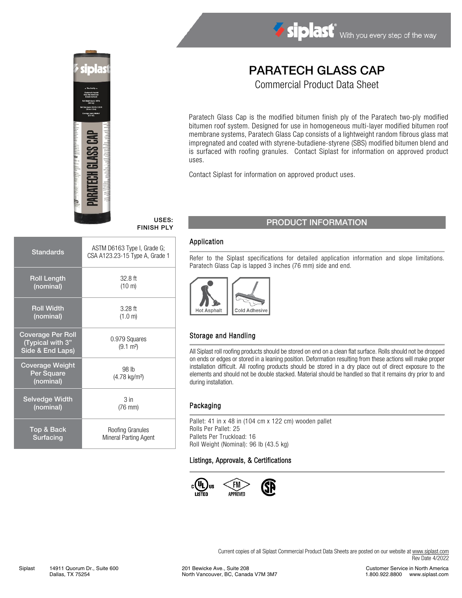

# Siplast With you every step of the way

## PARATECH GLASS CAP

Commercial Product Data Sheet

Paratech Glass Cap is the modified bitumen finish ply of the Paratech two-ply modified bitumen roof system. Designed for use in homogeneous multi-layer modified bitumen roof membrane systems, Paratech Glass Cap consists of a lightweight random fibrous glass mat impregnated and coated with styrene-butadiene-styrene (SBS) modified bitumen blend and is surfaced with roofing granules. Contact Siplast for information on approved product uses.

Contact Siplast for information on approved product uses.

| <b>Standards</b>                                                 | ASTM D6163 Type I, Grade G;<br>CSA A123.23-15 Type A, Grade 1 |
|------------------------------------------------------------------|---------------------------------------------------------------|
| <b>Roll Length</b>                                               | $32.8$ ft                                                     |
| (nominal)                                                        | $(10 \text{ m})$                                              |
| <b>Roll Width</b>                                                | $3.28$ ft                                                     |
| (nominal)                                                        | (1.0 m)                                                       |
| <b>Coverage Per Roll</b><br>(Typical with 3"<br>Side & End Laps) | 0.979 Squares<br>$(9.1 \text{ m}^2)$                          |
| <b>Coverage Weight</b><br>Per Square<br>(nominal)                | 98 lb<br>$(4.78 \text{ kg/m}^2)$                              |
| <b>Selvedge Width</b>                                            | 3 <sub>in</sub>                                               |
| (nominal)                                                        | $(76$ mm $)$                                                  |
| Top & Back                                                       | Roofing Granules                                              |
| Surfacing                                                        | Mineral Parting Agent                                         |

### USES: USES: PRODUCT INFORMATION

#### Application

Refer to the Siplast specifications for detailed application information and slope limitations. Paratech Glass Cap is lapped 3 inches (76 mm) side and end.



#### Storage and Handling

All Siplast roll roofing products should be stored on end on a clean flat surface. Rolls should not be dropped on ends or edges or stored in a leaning position. Deformation resulting from these actions will make proper installation difficult. All roofing products should be stored in a dry place out of direct exposure to the elements and should not be double stacked. Material should be handled so that it remains dry prior to and during installation.

#### Packaging

Pallet: 41 in x 48 in (104 cm x 122 cm) wooden pallet Rolls Per Pallet: 25 Pallets Per Truckload: 16 Roll Weight (Nominal): 96 lb (43.5 kg)

#### Listings, Approvals, & Certifications



Current copies of all Siplast Commercial Product Data Sheets are posted on our website at [www.siplast.com](http://www.siplast.com/) Rev Date 4/2022